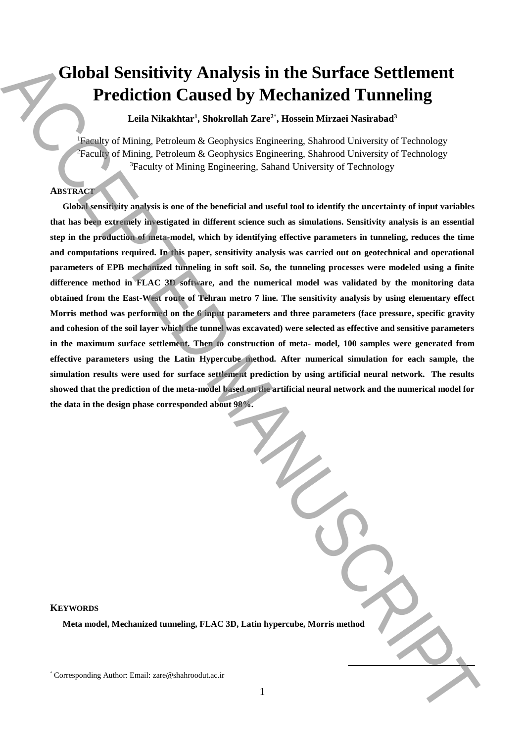# **Global Sensitivity Analysis in the Surface Settlement Prediction Caused by Mechanized Tunneling**

**Leila Nikakhtar<sup>1</sup> , Shokrollah Zare<sup>2</sup>**\* **, Hossein Mirzaei Nasirabad<sup>3</sup>**

<sup>1</sup>Faculty of Mining, Petroleum & Geophysics Engineering, Shahrood University of Technology <sup>2</sup>Faculty of Mining, Petroleum & Geophysics Engineering, Shahrood University of Technology <sup>3</sup>Faculty of Mining Engineering, Sahand University of Technology

# **ABSTRACT**

**Global sensitivity analysis is one of the beneficial and useful tool to identify the uncertainty of input variables that has been extremely investigated in different science such as simulations. Sensitivity analysis is an essential step in the production of meta-model, which by identifying effective parameters in tunneling, reduces the time and computations required. In this paper, sensitivity analysis was carried out on geotechnical and operational parameters of EPB mechanized tunneling in soft soil. So, the tunneling processes were modeled using a finite difference method in FLAC 3D software, and the numerical model was validated by the monitoring data obtained from the East-West route of Tehran metro 7 line. The sensitivity analysis by using elementary effect Morris method was performed on the 6 input parameters and three parameters (face pressure, specific gravity and cohesion of the soil layer which the tunnel was excavated) were selected as effective and sensitive parameters in the maximum surface settlement. Then to construction of meta- model, 100 samples were generated from effective parameters using the Latin Hypercube method. After numerical simulation for each sample, the simulation results were used for surface settlement prediction by using artificial neural network. The results showed that the prediction of the meta-model based on the artificial neural network and the numerical model for the data in the design phase corresponded about 98%. Corresponding Americans** ( $\alpha$ ) and  $\alpha$  ( $\alpha$ ) and  $\alpha$ ) and  $\alpha$  ( $\alpha$ ) and  $\alpha$ ) and  $\alpha$  ( $\alpha$ ) and  $\alpha$ ) and  $\alpha$  ( $\alpha$ ) and  $\alpha$ ) and  $\alpha$  ( $\alpha$ ) and  $\alpha$ ) and  $\alpha$  ( $\alpha$ ) and  $\alpha$ ) and  $\alpha$  ( $\alpha$ ) and  $\alpha$ )  $\alpha$  (

## **KEYWORDS**

**Meta model, Mechanized tunneling, FLAC 3D, Latin hypercube, Morris method**

**.**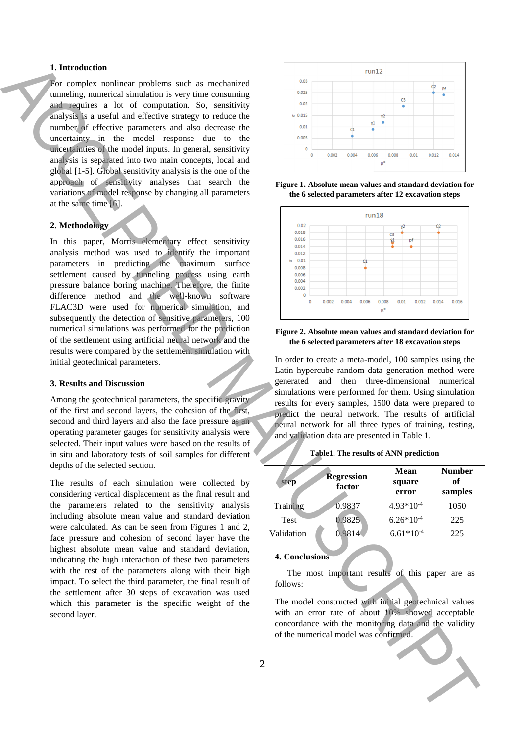## **1. Introduction**

For complex nonlinear problems such as mechanized tunneling, numerical simulation is very time consuming and requires a lot of computation. So, sensitivity analysis is a useful and effective strategy to reduce the number of effective parameters and also decrease the uncertainty in the model response due to the uncertainties of the model inputs. In general, sensitivity analysis is separated into two main concepts, local and global [1-5]. Global sensitivity analysis is the one of the approach of sensitivity analyses that search the variations of model response by changing all parameters at the same time [6].

# **2. Methodology**

In this paper, Morris elementary effect sensitivity analysis method was used to identify the important parameters in predicting the maximum surface settlement caused by tunneling process using earth pressure balance boring machine. Therefore, the finite difference method and the well-known software FLAC3D were used for numerical simulation, and subsequently the detection of sensitive parameters, 100 numerical simulations was performed for the prediction of the settlement using artificial neural network and the results were compared by the settlement simulation with initial geotechnical parameters.

## **3. Results and Discussion**

Among the geotechnical parameters, the specific gravity of the first and second layers, the cohesion of the first, second and third layers and also the face pressure as an operating parameter gauges for sensitivity analysis were selected. Their input values were based on the results of in situ and laboratory tests of soil samples for different depths of the selected section.

The results of each simulation were collected by considering vertical displacement as the final result and the parameters related to the sensitivity analysis including absolute mean value and standard deviation were calculated. As can be seen from Figures 1 and 2, face pressure and cohesion of second layer have the highest absolute mean value and standard deviation, indicating the high interaction of these two parameters with the rest of the parameters along with their high impact. To select the third parameter, the final result of the settlement after 30 steps of excavation was used which this parameter is the specific weight of the second layer. Let the substitution of the numerical model was confirmed. The numerical model was confirmed. Accepted was continued in the numerical model was confirmed. Accepted was confirmed. Accepted was continued by the numerical mo



**Figure 1. Absolute mean values and standard deviation for the 6 selected parameters after 12 excavation steps** 





In order to create a meta-model, 100 samples using the Latin hypercube random data generation method were generated and then three-dimensional numerical simulations were performed for them. Using simulation results for every samples, 1500 data were prepared to predict the neural network. The results of artificial neural network for all three types of training, testing, and validation data are presented in Table 1.

### **Table1. The results of ANN prediction**

| step        | <b>Regression</b><br>factor | Mean<br>square<br>error | <b>Number</b><br>of<br>samples |  |
|-------------|-----------------------------|-------------------------|--------------------------------|--|
| Training    | 0.9837                      | $4.93*10^{-4}$          | 1050                           |  |
| <b>Test</b> | 0.9825                      | $6.26*10^{-4}$          | 225                            |  |
| Validation  | 0.9814                      | $6.61*10^{-4}$          | 225                            |  |

#### **4. Conclusions**

The most important results of this paper are as follows:

The model constructed with initial geotechnical values with an error rate of about 10% showed acceptable concordance with the monitoring data and the validity